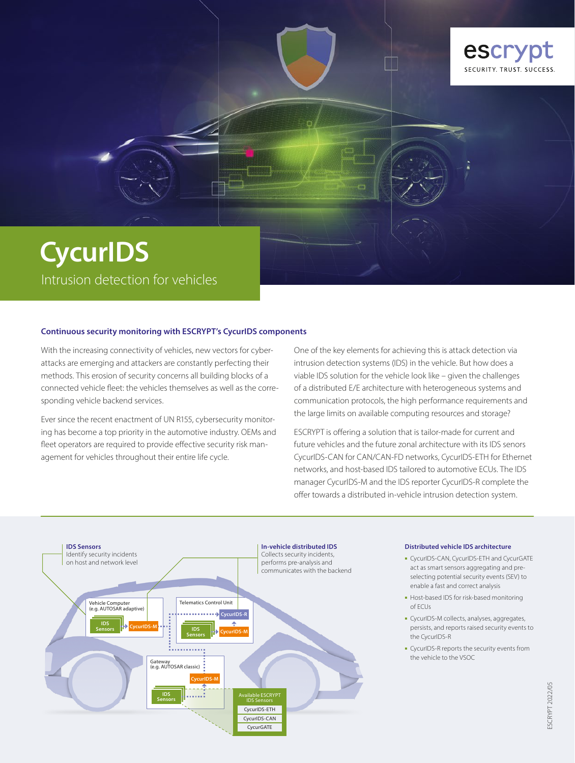

# **CycurIDS** Intrusion detection for vehicles

#### **Continuous security monitoring with ESCRYPT's CycurIDS components**

With the increasing connectivity of vehicles, new vectors for cyberattacks are emerging and attackers are constantly perfecting their methods. This erosion of security concerns all building blocks of a connected vehicle fleet: the vehicles themselves as well as the corresponding vehicle backend services.

Ever since the recent enactment of UN R155, cybersecurity monitoring has become a top priority in the automotive industry. OEMs and fleet operators are required to provide effective security risk management for vehicles throughout their entire life cycle.

One of the key elements for achieving this is attack detection via intrusion detection systems (IDS) in the vehicle. But how does a viable IDS solution for the vehicle look like – given the challenges of a distributed E/E architecture with heterogeneous systems and communication protocols, the high performance requirements and the large limits on available computing resources and storage?

ESCRYPT is offering a solution that is tailor-made for current and future vehicles and the future zonal architecture with its IDS senors CycurIDS-CAN for CAN/CAN-FD networks, CycurIDS-ETH for Ethernet networks, and host-based IDS tailored to automotive ECUs. The IDS manager CycurIDS-M and the IDS reporter CycurIDS-R complete the offer towards a distributed in-vehicle intrusion detection system.



#### **Distributed vehicle IDS architecture**

- ■ CycurIDS-CAN, CycurIDS-ETH and CycurGATE act as smart sensors aggregating and preselecting potential security events (SEV) to enable a fast and correct analysis
- Host-based IDS for risk-based monitoring of ECUs
- ■ CycurIDS-M collects, analyses, aggregates, persists, and reports raised security events to the CycurIDS-R
- CycurIDS-R reports the security events from the vehicle to the VSOC